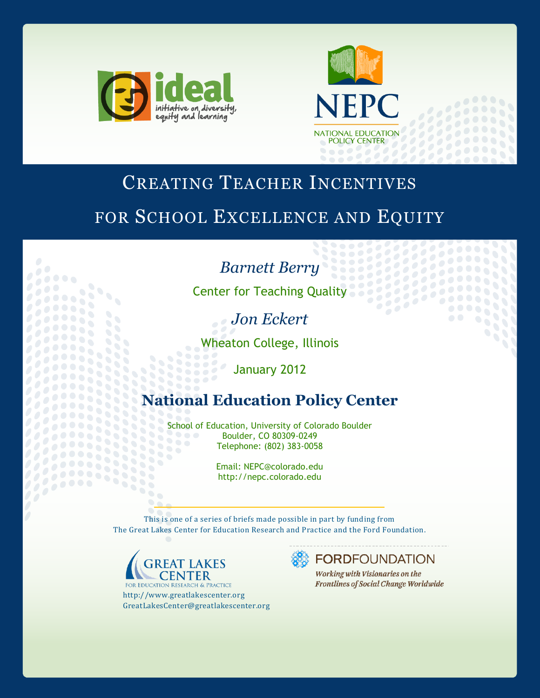



3333

 $\bullet$ 

# CREATING TEACHER INCENTIVES

# FOR SCHOOL EXCELLENCE AND EQUITY

## *Barnett Berry*

**Center for Teaching Quality** 

*Jon Eckert*

Wheaton College, Illinois

January 2012

# **National Education Policy Center**

School of Education, University of Colorado Boulder 333 Boulder, CO 80309-0249 355 Telephone: (802) 383-0058 838

Email: NEPC@colorado.edu http://nepc.colorado.edu

This is one of a series of briefs made possible in part by funding from The Great Lakes Center for Education Research and Practice and the Ford Foundation.



 $\bullet$ 

33 33333

*<u> 2200000000</u>* 

**FOR EDUCATION RESEARCH & PRACTICE** http://www.greatlakescenter.org GreatLakesCenter@greatlakescenter.org

 $\bullet$   $\bullet$   $\bullet$ 

**FORDFOUNDATION** 

Working with Visionaries on the Frontlines of Social Change Worldwide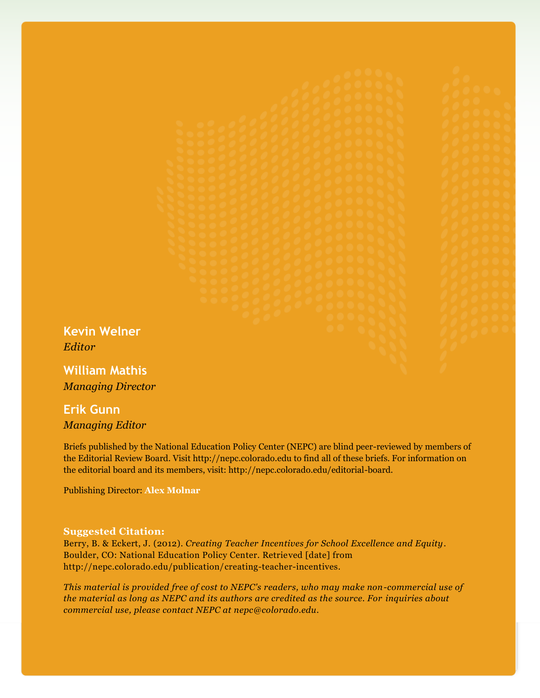**Kevin Welner** *Editor*

**William Mathis** *Managing Director*

## **Erik Gunn** *Managing Editor*

Briefs published by the National Education Policy Center (NEPC) are blind peer-reviewed by members of the Editorial Review Board. Visit http://nepc.colorado.edu to find all of these briefs. For information on the editorial board and its members, visit: http://nepc.colorado.edu/editorial-board.

Publishing Director: **Alex Molnar**

#### **Suggested Citation:**

Berry, B. & Eckert, J. (2012). *Creating Teacher Incentives for School Excellence and Equity*. Boulder, CO: National Education Policy Center. Retrieved [date] from http://nepc.colorado.edu/publication/creating-teacher-incentives.

*This material is provided free of cost to NEPC's readers, who may make non-commercial use of the material as long as NEPC and its authors are credited as the source. For inquiries about commercial use, please contact NEPC at nepc@colorado.edu.*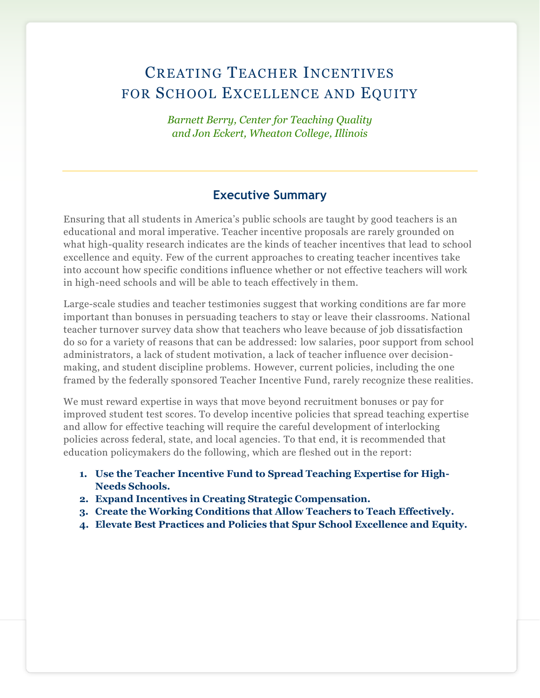## CREATING TEACHER INCENTIVES FOR SCHOOL EXCELLENCE AND EQUITY

*Barnett Berry, Center for Teaching Quality and Jon Eckert, Wheaton College, Illinois*

## **Executive Summary**

Ensuring that all students in America's public schools are taught by good teachers is an educational and moral imperative. Teacher incentive proposals are rarely grounded on what high-quality research indicates are the kinds of teacher incentives that lead to school excellence and equity. Few of the current approaches to creating teacher incentives take into account how specific conditions influence whether or not effective teachers will work in high-need schools and will be able to teach effectively in them.

Large-scale studies and teacher testimonies suggest that working conditions are far more important than bonuses in persuading teachers to stay or leave their classrooms. National teacher turnover survey data show that teachers who leave because of job dissatisfaction do so for a variety of reasons that can be addressed: low salaries, poor support from school administrators, a lack of student motivation, a lack of teacher influence over decisionmaking, and student discipline problems. However, current policies, including the one framed by the federally sponsored Teacher Incentive Fund, rarely recognize these realities.

We must reward expertise in ways that move beyond recruitment bonuses or pay for improved student test scores. To develop incentive policies that spread teaching expertise and allow for effective teaching will require the careful development of interlocking policies across federal, state, and local agencies. To that end, it is recommended that education policymakers do the following, which are fleshed out in the report:

- **1. Use the Teacher Incentive Fund to Spread Teaching Expertise for High-Needs Schools.**
- **2. Expand Incentives in Creating Strategic Compensation.**
- **3. Create the Working Conditions that Allow Teachers to Teach Effectively.**
- **4. Elevate Best Practices and Policies that Spur School Excellence and Equity.**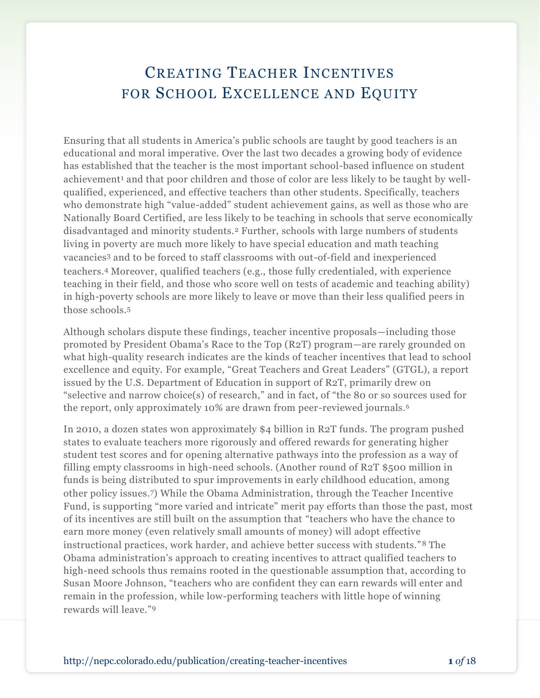## CREATING TEACHER INCENTIVES FOR SCHOOL EXCELLENCE AND EQUITY

Ensuring that all students in America's public schools are taught by good teachers is an educational and moral imperative. Over the last two decades a growing body of evidence has established that the teacher is the most important school-based influence on student achievement<sup>1</sup> and that poor children and those of color are less likely to be taught by wellqualified, experienced, and effective teachers than other students. Specifically, teachers who demonstrate high "value-added" student achievement gains, as well as those who are Nationally Board Certified, are less likely to be teaching in schools that serve economically disadvantaged and minority students.<sup>2</sup> Further, schools with large numbers of students living in poverty are much more likely to have special education and math teaching vacancies<sup>3</sup> and to be forced to staff classrooms with out-of-field and inexperienced teachers.<sup>4</sup> Moreover, qualified teachers (e.g., those fully credentialed, with experience teaching in their field*,* and those who score well on tests of academic and teaching ability) in high-poverty schools are more likely to leave or move than their less qualified peers in those schools.<sup>5</sup>

Although scholars dispute these findings, teacher incentive proposals—including those promoted by President Obama's Race to the Top (R2T) program—are rarely grounded on what high-quality research indicates are the kinds of teacher incentives that lead to school excellence and equity. For example, "Great Teachers and Great Leaders" (GTGL), a report issued by the U.S. Department of Education in support of R2T, primarily drew on "selective and narrow choice(s) of research," and in fact, of "the 80 or so sources used for the report, only approximately 10% are drawn from peer-reviewed journals.<sup>6</sup>

In 2010, a dozen states won approximately \$4 billion in R2T funds. The program pushed states to evaluate teachers more rigorously and offered rewards for generating higher student test scores and for opening alternative pathways into the profession as a way of filling empty classrooms in high-need schools. (Another round of R2T \$500 million in funds is being distributed to spur improvements in early childhood education, among other policy issues.7) While the Obama Administration, through the Teacher Incentive Fund, is supporting "more varied and intricate" merit pay efforts than those the past, most of its incentives are still built on the assumption that "teachers who have the chance to earn more money (even relatively small amounts of money) will adopt effective instructional practices, work harder, and achieve better success with students."<sup>8</sup> The Obama administration's approach to creating incentives to attract qualified teachers to high-need schools thus remains rooted in the questionable assumption that, according to Susan Moore Johnson, "teachers who are confident they can earn rewards will enter and remain in the profession, while low-performing teachers with little hope of winning rewards will leave."9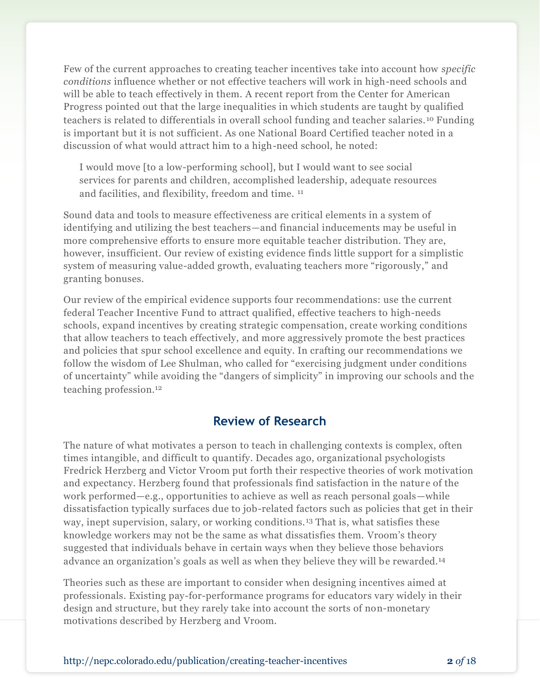Few of the current approaches to creating teacher incentives take into account how *specific conditions* influence whether or not effective teachers will work in high-need schools and will be able to teach effectively in them. A recent report from the Center for American Progress pointed out that the large inequalities in which students are taught by qualified teachers is related to differentials in overall school funding and teacher salaries. <sup>10</sup> Funding is important but it is not sufficient. As one National Board Certified teacher noted in a discussion of what would attract him to a high-need school, he noted:

I would move [to a low-performing school], but I would want to see social services for parents and children, accomplished leadership, adequate resources and facilities, and flexibility, freedom and time. <sup>11</sup>

Sound data and tools to measure effectiveness are critical elements in a system of identifying and utilizing the best teachers—and financial inducements may be useful in more comprehensive efforts to ensure more equitable teacher distribution. They are, however, insufficient. Our review of existing evidence finds little support for a simplistic system of measuring value-added growth, evaluating teachers more "rigorously," and granting bonuses.

Our review of the empirical evidence supports four recommendations: use the current federal Teacher Incentive Fund to attract qualified, effective teachers to high-needs schools, expand incentives by creating strategic compensation, create working conditions that allow teachers to teach effectively, and more aggressively promote the best practices and policies that spur school excellence and equity. In crafting our recommendations we follow the wisdom of Lee Shulman, who called for "exercising judgment under conditions of uncertainty" while avoiding the "dangers of simplicity" in improving our schools and the teaching profession.<sup>12</sup>

## **Review of Research**

The nature of what motivates a person to teach in challenging contexts is complex, often times intangible, and difficult to quantify. Decades ago, organizational psychologists Fredrick Herzberg and Victor Vroom put forth their respective theories of work motivation and expectancy. Herzberg found that professionals find satisfaction in the nature of the work performed—e.g., opportunities to achieve as well as reach personal goals—while dissatisfaction typically surfaces due to job-related factors such as policies that get in their way, inept supervision, salary, or working conditions. <sup>13</sup> That is, what satisfies these knowledge workers may not be the same as what dissatisfies them. Vroom's theory suggested that individuals behave in certain ways when they believe those behaviors advance an organization's goals as well as when they believe they will be rewarded.<sup>14</sup>

Theories such as these are important to consider when designing incentives aimed at professionals. Existing pay-for-performance programs for educators vary widely in their design and structure, but they rarely take into account the sorts of non-monetary motivations described by Herzberg and Vroom.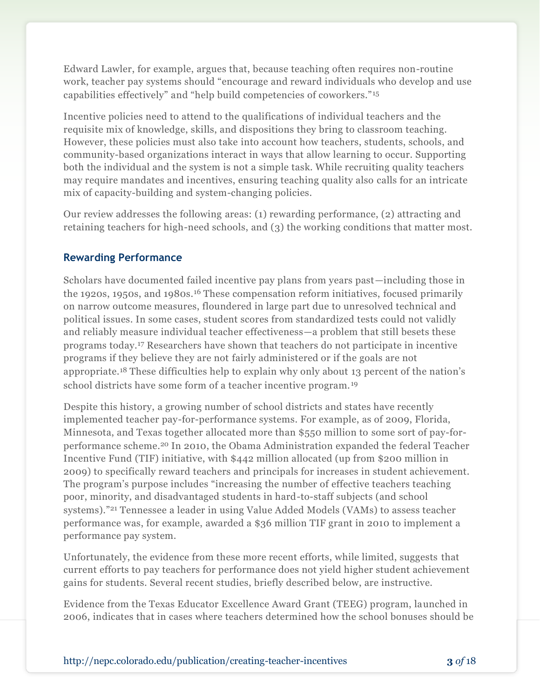Edward Lawler, for example, argues that, because teaching often requires non-routine work, teacher pay systems should "encourage and reward individuals who develop and use capabilities effectively" and "help build competencies of coworkers."<sup>15</sup>

Incentive policies need to attend to the qualifications of individual teachers and the requisite mix of knowledge, skills, and dispositions they bring to classroom teaching. However, these policies must also take into account how teachers, students, schools, and community-based organizations interact in ways that allow learning to occur. Supporting both the individual and the system is not a simple task. While recruiting quality teachers may require mandates and incentives, ensuring teaching quality also calls for an intricate mix of capacity-building and system-changing policies.

Our review addresses the following areas: (1) rewarding performance, (2) attracting and retaining teachers for high-need schools, and (3) the working conditions that matter most.

### **Rewarding Performance**

Scholars have documented failed incentive pay plans from years past—including those in the 1920s, 1950s, and 1980s.<sup>16</sup> These compensation reform initiatives, focused primarily on narrow outcome measures, floundered in large part due to unresolved technical and political issues. In some cases, student scores from standardized tests could not validly and reliably measure individual teacher effectiveness—a problem that still besets these programs today.<sup>17</sup> Researchers have shown that teachers do not participate in incentive programs if they believe they are not fairly administered or if the goals are not appropriate.<sup>18</sup> These difficulties help to explain why only about 13 percent of the nation's school districts have some form of a teacher incentive program. <sup>19</sup>

Despite this history, a growing number of school districts and states have recently implemented teacher pay-for-performance systems. For example, as of 2009, Florida, Minnesota, and Texas together allocated more than \$550 million to some sort of pay-forperformance scheme. <sup>20</sup> In 2010, the Obama Administration expanded the federal Teacher Incentive Fund (TIF) initiative, with \$442 million allocated (up from \$200 million in 2009) to specifically reward teachers and principals for increases in student achievement. The program's purpose includes "increasing the number of effective teachers teaching poor, minority, and disadvantaged students in hard-to-staff subjects (and school systems)."<sup>21</sup> Tennessee a leader in using Value Added Models (VAMs) to assess teacher performance was, for example, awarded a \$36 million TIF grant in 2010 to implement a performance pay system.

Unfortunately, the evidence from these more recent efforts, while limited, suggests that current efforts to pay teachers for performance does not yield higher student achievement gains for students. Several recent studies, briefly described below, are instructive.

Evidence from the Texas Educator Excellence Award Grant (TEEG) program, launched in 2006, indicates that in cases where teachers determined how the school bonuses should be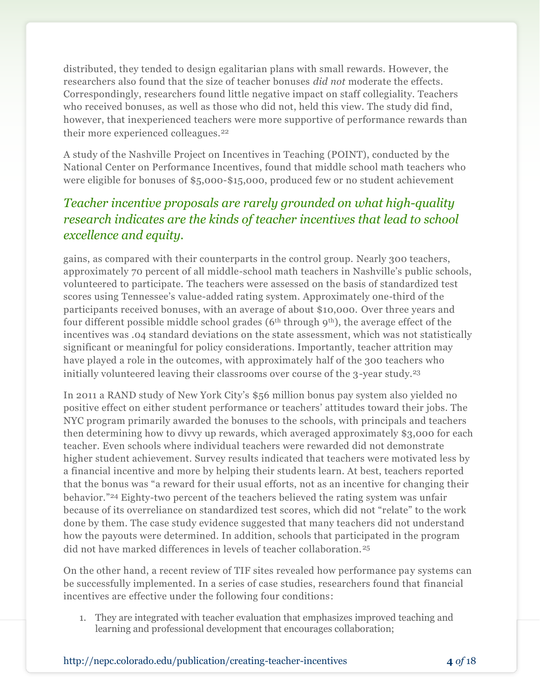distributed, they tended to design egalitarian plans with small rewards. However, the researchers also found that the size of teacher bonuses *did not* moderate the effects. Correspondingly, researchers found little negative impact on staff collegiality. Teachers who received bonuses, as well as those who did not, held this view. The study did find, however, that inexperienced teachers were more supportive of performance rewards than their more experienced colleagues.<sup>22</sup>

A study of the Nashville Project on Incentives in Teaching (POINT), conducted by the National Center on Performance Incentives, found that middle school math teachers who were eligible for bonuses of \$5,000-\$15,000, produced few or no student achievement

## *Teacher incentive proposals are rarely grounded on what high-quality research indicates are the kinds of teacher incentives that lead to school excellence and equity.*

gains, as compared with their counterparts in the control group. Nearly 300 teachers, approximately 70 percent of all middle-school math teachers in Nashville's public schools, volunteered to participate. The teachers were assessed on the basis of standardized test scores using Tennessee's value-added rating system. Approximately one-third of the participants received bonuses, with an average of about \$10,000. Over three years and four different possible middle school grades ( $6<sup>th</sup>$  through  $9<sup>th</sup>$ ), the average effect of the incentives was .04 standard deviations on the state assessment, which was not statistically significant or meaningful for policy considerations. Importantly, teacher attrition may have played a role in the outcomes, with approximately half of the 300 teachers who initially volunteered leaving their classrooms over course of the 3-year study.<sup>23</sup>

In 2011 a RAND study of New York City's \$56 million bonus pay system also yielded no positive effect on either student performance or teachers' attitudes toward their jobs. The NYC program primarily awarded the bonuses to the schools, with principals and teachers then determining how to divvy up rewards, which averaged approximately \$3,000 for each teacher. Even schools where individual teachers were rewarded did not demonstrate higher student achievement. Survey results indicated that teachers were motivated less by a financial incentive and more by helping their students learn. At best, teachers reported that the bonus was "a reward for their usual efforts, not as an incentive for changing their behavior."<sup>24</sup> Eighty-two percent of the teachers believed the rating system was unfair because of its overreliance on standardized test scores, which did not "relate" to the work done by them. The case study evidence suggested that many teachers did not understand how the payouts were determined. In addition, schools that participated in the program did not have marked differences in levels of teacher collaboration.<sup>25</sup>

On the other hand, a recent review of TIF sites revealed how performance pay systems can be successfully implemented. In a series of case studies, researchers found that financial incentives are effective under the following four conditions:

1. They are integrated with teacher evaluation that emphasizes improved teaching and learning and professional development that encourages collaboration;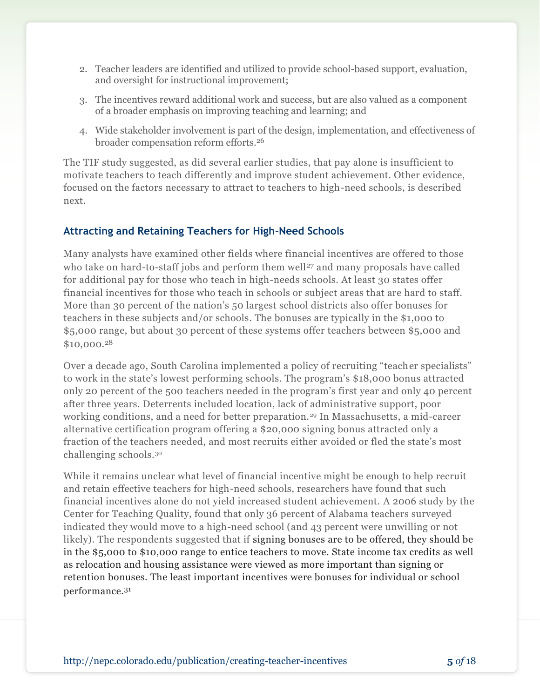- 2. Teacher leaders are identified and utilized to provide school-based support, evaluation, and oversight for instructional improvement;
- 3. The incentives reward additional work and success, but are also valued as a component of a broader emphasis on improving teaching and learning; and
- 4. Wide stakeholder involvement is part of the design, implementation, and effectiveness of broader compensation reform efforts.<sup>26</sup>

The TIF study suggested, as did several earlier studies, that pay alone is insufficient to motivate teachers to teach differently and improve student achievement. Other evidence, focused on the factors necessary to attract to teachers to high-need schools, is described next.

#### **Attracting and Retaining Teachers for High-Need Schools**

Many analysts have examined other fields where financial incentives are offered to those who take on hard-to-staff jobs and perform them well<sup>27</sup> and many proposals have called for additional pay for those who teach in high-needs schools. At least 30 states offer financial incentives for those who teach in schools or subject areas that are hard to staff. More than 30 percent of the nation's 50 largest school districts also offer bonuses for teachers in these subjects and/or schools*.* The bonuses are typically in the \$1,000 to \$5,000 range, but about 30 percent of these systems offer teachers between \$5,000 and \$10,000.<sup>28</sup>

Over a decade ago, South Carolina implemented a policy of recruiting "teacher specialists" to work in the state's lowest performing schools. The program's \$18,000 bonus attracted only 20 percent of the 500 teachers needed in the program's first year and only 40 percent after three years. Deterrents included location, lack of administrative support, poor working conditions, and a need for better preparation.<sup>29</sup> In Massachusetts, a mid-career alternative certification program offering a \$20,000 signing bonus attracted only a fraction of the teachers needed, and most recruits either avoided or fled the state's most challenging schools.<sup>30</sup>

While it remains unclear what level of financial incentive might be enough to help recruit and retain effective teachers for high-need schools, researchers have found that such financial incentives alone do not yield increased student achievement. A 2006 study by the Center for Teaching Quality, found that only 36 percent of Alabama teachers surveyed indicated they would move to a high-need school (and 43 percent were unwilling or not likely). The respondents suggested that if signing bonuses are to be offered, they should be in the \$5,000 to \$10,000 range to entice teachers to move. State income tax credits as well as relocation and housing assistance were viewed as more important than signing or retention bonuses. The least important incentives were bonuses for individual or school performance.31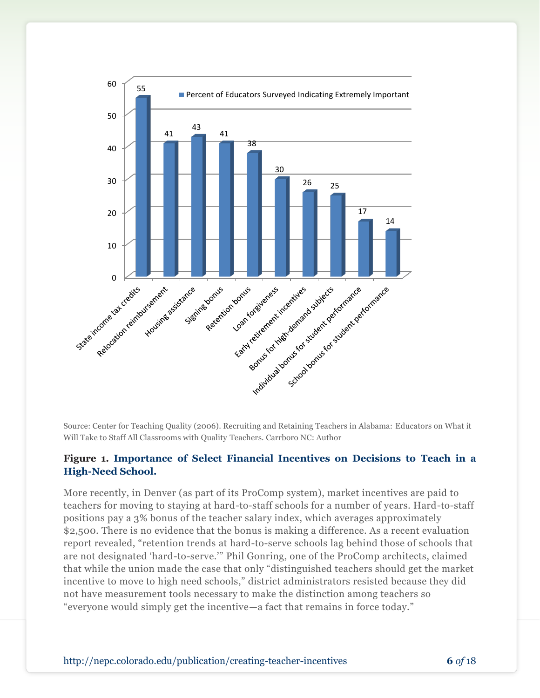

Source: Center for Teaching Quality (2006). Recruiting and Retaining Teachers in Alabama: Educators on What it Will Take to Staff All Classrooms with Quality Teachers. Carrboro NC: Author

#### **Figure 1. Importance of Select Financial Incentives on Decisions to Teach in a High-Need School.**

More recently, in Denver (as part of its ProComp system), market incentives are paid to teachers for moving to staying at hard-to-staff schools for a number of years. Hard-to-staff positions pay a 3% bonus of the teacher salary index, which averages approximately \$2,500. There is no evidence that the bonus is making a difference. As a recent evaluation report revealed, "retention trends at hard-to-serve schools lag behind those of schools that are not designated 'hard-to-serve.'" Phil Gonring, one of the ProComp architects, claimed that while the union made the case that only "distinguished teachers should get the market incentive to move to high need schools," district administrators resisted because they did not have measurement tools necessary to make the distinction among teachers so "everyone would simply get the incentive—a fact that remains in force today."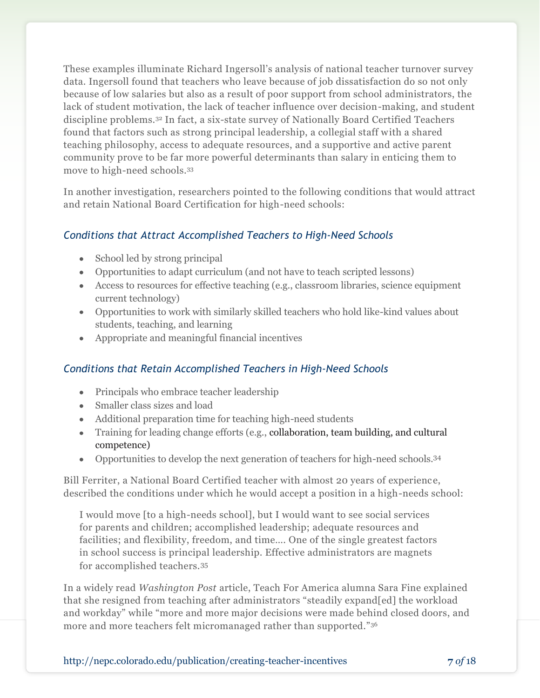These examples illuminate Richard Ingersoll's analysis of national teacher turnover survey data. Ingersoll found that teachers who leave because of job dissatisfaction do so not only because of low salaries but also as a result of poor support from school administrators, the lack of student motivation, the lack of teacher influence over decision-making, and student discipline problems.<sup>32</sup> In fact, a six-state survey of Nationally Board Certified Teachers found that factors such as strong principal leadership, a collegial staff with a shared teaching philosophy, access to adequate resources, and a supportive and active parent community prove to be far more powerful determinants than salary in enticing them to move to high-need schools.<sup>33</sup>

In another investigation, researchers pointed to the following conditions that would attract and retain National Board Certification for high-need schools:

### *Conditions that Attract Accomplished Teachers to High-Need Schools*

- School led by strong principal
- Opportunities to adapt curriculum (and not have to teach scripted lessons)
- Access to resources for effective teaching (e.g., classroom libraries, science equipment current technology)
- Opportunities to work with similarly skilled teachers who hold like-kind values about students, teaching, and learning
- Appropriate and meaningful financial incentives

### *Conditions that Retain Accomplished Teachers in High-Need Schools*

- Principals who embrace teacher leadership
- Smaller class sizes and load
- Additional preparation time for teaching high-need students
- Training for leading change efforts (e.g., collaboration, team building, and cultural competence)
- Opportunities to develop the next generation of teachers for high-need schools.<sup>34</sup>

Bill Ferriter, a National Board Certified teacher with almost 20 years of experience, described the conditions under which he would accept a position in a high-needs school:

I would move [to a high-needs school], but I would want to see social services for parents and children; accomplished leadership; adequate resources and facilities; and flexibility, freedom, and time…. One of the single greatest factors in school success is principal leadership. Effective administrators are magnets for accomplished teachers.<sup>35</sup>

In a widely read *Washington Post* article, Teach For America alumna Sara Fine explained that she resigned from teaching after administrators "steadily expand[ed] the workload and workday" while "more and more major decisions were made behind closed doors, and more and more teachers felt micromanaged rather than supported."36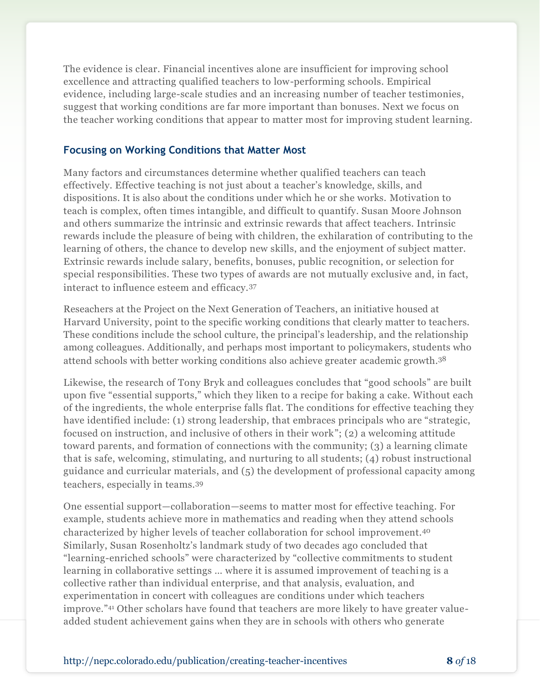The evidence is clear. Financial incentives alone are insufficient for improving school excellence and attracting qualified teachers to low-performing schools. Empirical evidence, including large-scale studies and an increasing number of teacher testimonies, suggest that working conditions are far more important than bonuses. Next we focus on the teacher working conditions that appear to matter most for improving student learning.

#### **Focusing on Working Conditions that Matter Most**

Many factors and circumstances determine whether qualified teachers can teach effectively. Effective teaching is not just about a teacher's knowledge, skills, and dispositions. It is also about the conditions under which he or she works. Motivation to teach is complex, often times intangible, and difficult to quantify. Susan Moore Johnson and others summarize the intrinsic and extrinsic rewards that affect teachers. Intrinsic rewards include the pleasure of being with children, the exhilaration of contributing to the learning of others, the chance to develop new skills, and the enjoyment of subject matter. Extrinsic rewards include salary, benefits, bonuses, public recognition, or selection for special responsibilities. These two types of awards are not mutually exclusive and, in fact, interact to influence esteem and efficacy.<sup>37</sup>

Reseachers at the Project on the Next Generation of Teachers, an initiative housed at Harvard University, point to the specific working conditions that clearly matter to teachers. These conditions include the school culture, the principal's leadership, and the relationship among colleagues. Additionally, and perhaps most important to policymakers, students who attend schools with better working conditions also achieve greater academic growth.<sup>38</sup>

Likewise, the research of Tony Bryk and colleagues concludes that "good schools" are built upon five "essential supports," which they liken to a recipe for baking a cake. Without each of the ingredients, the whole enterprise falls flat. The conditions for effective teaching they have identified include: (1) strong leadership, that embraces principals who are "strategic, focused on instruction, and inclusive of others in their work"; (2) a welcoming attitude toward parents, and formation of connections with the community; (3) a learning climate that is safe, welcoming, stimulating, and nurturing to all students; (4) robust instructional guidance and curricular materials, and (5) the development of professional capacity among teachers, especially in teams.<sup>39</sup>

One essential support—collaboration—seems to matter most for effective teaching. For example, students achieve more in mathematics and reading when they attend schools characterized by higher levels of teacher collaboration for school improvement.<sup>40</sup> Similarly, Susan Rosenholtz's landmark study of two decades ago concluded that "learning-enriched schools" were characterized by "collective commitments to student learning in collaborative settings … where it is assumed improvement of teaching is a collective rather than individual enterprise, and that analysis, evaluation, and experimentation in concert with colleagues are conditions under which teachers improve."<sup>41</sup> Other scholars have found that teachers are more likely to have greater valueadded student achievement gains when they are in schools with others who generate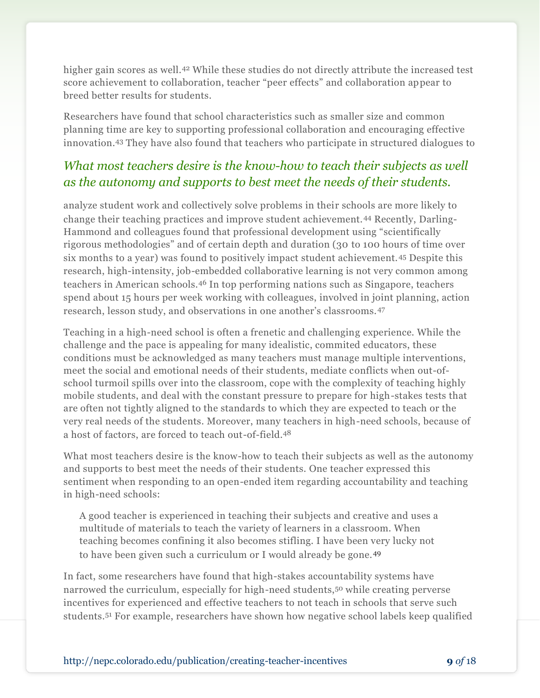higher gain scores as well.<sup>42</sup> While these studies do not directly attribute the increased test score achievement to collaboration, teacher "peer effects" and collaboration appear to breed better results for students.

Researchers have found that school characteristics such as smaller size and common planning time are key to supporting professional collaboration and encouraging effective innovation.<sup>43</sup> They have also found that teachers who participate in structured dialogues to

## *What most teachers desire is the know-how to teach their subjects as well as the autonomy and supports to best meet the needs of their students.*

analyze student work and collectively solve problems in their schools are more likely to change their teaching practices and improve student achievement.<sup>44</sup> Recently, Darling-Hammond and colleagues found that professional development using "scientifically rigorous methodologies" and of certain depth and duration (30 to 100 hours of time over six months to a year) was found to positively impact student achievement.<sup>45</sup> Despite this research, high-intensity, job-embedded collaborative learning is not very common among teachers in American schools.<sup>46</sup> In top performing nations such as Singapore, teachers spend about 15 hours per week working with colleagues, involved in joint planning, action research, lesson study, and observations in one another's classrooms.<sup>47</sup>

Teaching in a high-need school is often a frenetic and challenging experience. While the challenge and the pace is appealing for many idealistic, commited educators, these conditions must be acknowledged as many teachers must manage multiple interventions, meet the social and emotional needs of their students, mediate conflicts when out-ofschool turmoil spills over into the classroom, cope with the complexity of teaching highly mobile students, and deal with the constant pressure to prepare for high-stakes tests that are often not tightly aligned to the standards to which they are expected to teach or the very real needs of the students. Moreover, many teachers in high-need schools, because of a host of factors, are forced to teach out-of-field.<sup>48</sup>

What most teachers desire is the know-how to teach their subjects as well as the autonomy and supports to best meet the needs of their students. One teacher expressed this sentiment when responding to an open-ended item regarding accountability and teaching in high-need schools:

A good teacher is experienced in teaching their subjects and creative and uses a multitude of materials to teach the variety of learners in a classroom. When teaching becomes confining it also becomes stifling. I have been very lucky not to have been given such a curriculum or I would already be gone.<sup>49</sup>

In fact, some researchers have found that high-stakes accountability systems have narrowed the curriculum, especially for high-need students,<sup>50</sup> while creating perverse incentives for experienced and effective teachers to not teach in schools that serve such students.<sup>51</sup> For example, researchers have shown how negative school labels keep qualified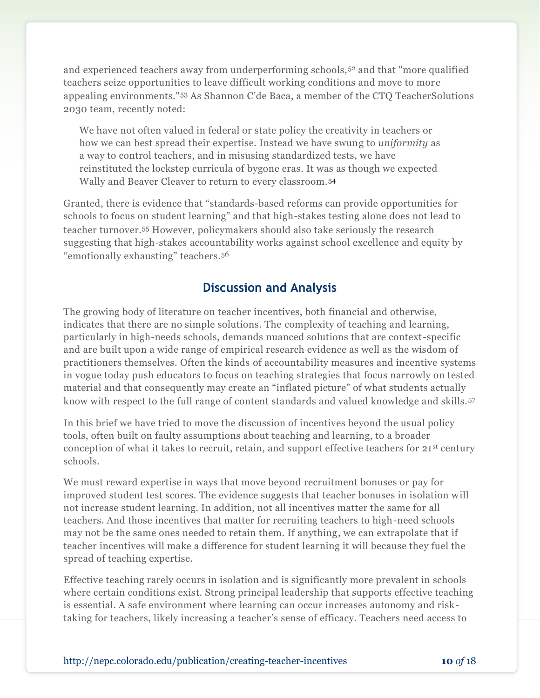and experienced teachers away from underperforming schools,<sup>52</sup> and that "more qualified" teachers seize opportunities to leave difficult working conditions and move to more appealing environments."<sup>53</sup> As Shannon C'de Baca, a member of the CTQ TeacherSolutions 2030 team, recently noted:

We have not often valued in federal or state policy the creativity in teachers or how we can best spread their expertise. Instead we have swung to *uniformity* as a way to control teachers, and in misusing standardized tests, we have reinstituted the lockstep curricula of bygone eras. It was as though we expected Wally and Beaver Cleaver to return to every classroom.<sup>54</sup>

Granted, there is evidence that "standards-based reforms can provide opportunities for schools to focus on student learning" and that high-stakes testing alone does not lead to teacher turnover.<sup>55</sup> However, policymakers should also take seriously the research suggesting that high-stakes accountability works against school excellence and equity by "emotionally exhausting" teachers.<sup>56</sup>

## **Discussion and Analysis**

The growing body of literature on teacher incentives, both financial and otherwise, indicates that there are no simple solutions. The complexity of teaching and learning, particularly in high-needs schools, demands nuanced solutions that are context-specific and are built upon a wide range of empirical research evidence as well as the wisdom of practitioners themselves. Often the kinds of accountability measures and incentive systems in vogue today push educators to focus on teaching strategies that focus narrowly on tested material and that consequently may create an "inflated picture" of what students actually know with respect to the full range of content standards and valued knowledge and skills.<sup>57</sup>

In this brief we have tried to move the discussion of incentives beyond the usual policy tools, often built on faulty assumptions about teaching and learning, to a broader conception of what it takes to recruit, retain, and support effective teachers for 21<sup>st</sup> century schools.

We must reward expertise in ways that move beyond recruitment bonuses or pay for improved student test scores. The evidence suggests that teacher bonuses in isolation will not increase student learning. In addition, not all incentives matter the same for all teachers. And those incentives that matter for recruiting teachers to high-need schools may not be the same ones needed to retain them. If anything, we can extrapolate that if teacher incentives will make a difference for student learning it will because they fuel the spread of teaching expertise.

Effective teaching rarely occurs in isolation and is significantly more prevalent in schools where certain conditions exist. Strong principal leadership that supports effective teaching is essential. A safe environment where learning can occur increases autonomy and risktaking for teachers, likely increasing a teacher's sense of efficacy. Teachers need access to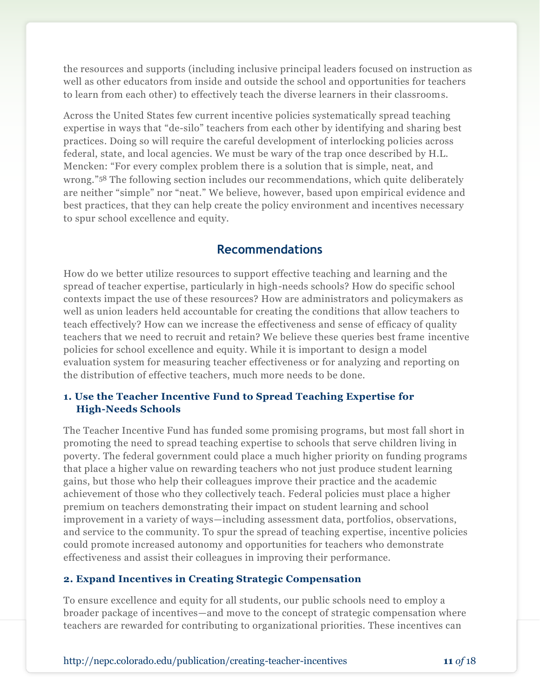the resources and supports (including inclusive principal leaders focused on instruction as well as other educators from inside and outside the school and opportunities for teachers to learn from each other) to effectively teach the diverse learners in their classrooms.

Across the United States few current incentive policies systematically spread teaching expertise in ways that "de-silo" teachers from each other by identifying and sharing best practices. Doing so will require the careful development of interlocking policies across federal, state, and local agencies. We must be wary of the trap once described by H.L. Mencken: "For every complex problem there is a solution that is simple, neat, and wrong."<sup>58</sup> The following section includes our recommendations, which quite deliberately are neither "simple" nor "neat." We believe, however, based upon empirical evidence and best practices, that they can help create the policy environment and incentives necessary to spur school excellence and equity.

## **Recommendations**

How do we better utilize resources to support effective teaching and learning and the spread of teacher expertise, particularly in high-needs schools? How do specific school contexts impact the use of these resources? How are administrators and policymakers as well as union leaders held accountable for creating the conditions that allow teachers to teach effectively? How can we increase the effectiveness and sense of efficacy of quality teachers that we need to recruit and retain? We believe these queries best frame incentive policies for school excellence and equity. While it is important to design a model evaluation system for measuring teacher effectiveness or for analyzing and reporting on the distribution of effective teachers, much more needs to be done.

#### **1. Use the Teacher Incentive Fund to Spread Teaching Expertise for High-Needs Schools**

The Teacher Incentive Fund has funded some promising programs, but most fall short in promoting the need to spread teaching expertise to schools that serve children living in poverty. The federal government could place a much higher priority on funding programs that place a higher value on rewarding teachers who not just produce student learning gains, but those who help their colleagues improve their practice and the academic achievement of those who they collectively teach. Federal policies must place a higher premium on teachers demonstrating their impact on student learning and school improvement in a variety of ways—including assessment data, portfolios, observations, and service to the community. To spur the spread of teaching expertise, incentive policies could promote increased autonomy and opportunities for teachers who demonstrate effectiveness and assist their colleagues in improving their performance.

#### **2. Expand Incentives in Creating Strategic Compensation**

To ensure excellence and equity for all students, our public schools need to employ a broader package of incentives—and move to the concept of strategic compensation where teachers are rewarded for contributing to organizational priorities. These incentives can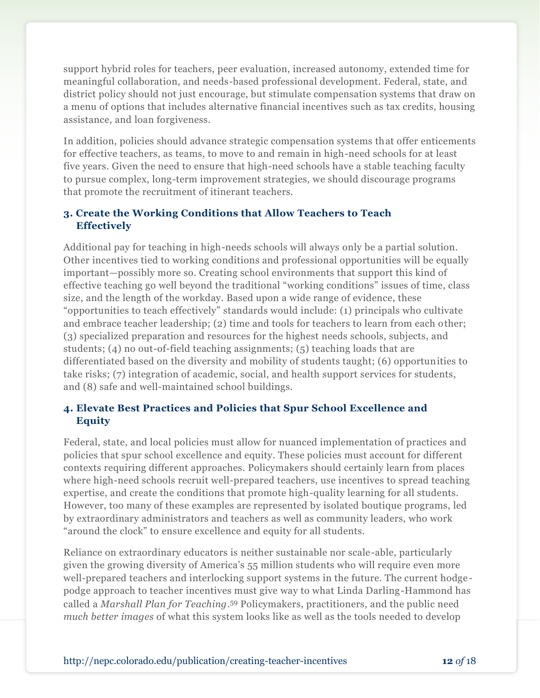support hybrid roles for teachers, peer evaluation, increased autonomy, extended time for meaningful collaboration, and needs-based professional development. Federal, state, and district policy should not just encourage, but stimulate compensation systems that draw on a menu of options that includes alternative financial incentives such as tax credits, housing assistance, and loan forgiveness.

In addition, policies should advance strategic compensation systems that offer enticements for effective teachers, as teams, to move to and remain in high-need schools for at least five years. Given the need to ensure that high-need schools have a stable teaching faculty to pursue complex, long-term improvement strategies, we should discourage programs that promote the recruitment of itinerant teachers.

### **3. Create the Working Conditions that Allow Teachers to Teach Effectively**

Additional pay for teaching in high-needs schools will always only be a partial solution. Other incentives tied to working conditions and professional opportunities will be equally important—possibly more so. Creating school environments that support this kind of effective teaching go well beyond the traditional "working conditions" issues of time, class size, and the length of the workday. Based upon a wide range of evidence, these "opportunities to teach effectively" standards would include: (1) principals who cultivate and embrace teacher leadership; (2) time and tools for teachers to learn from each other; (3) specialized preparation and resources for the highest needs schools, subjects, and students; (4) no out-of-field teaching assignments; (5) teaching loads that are differentiated based on the diversity and mobility of students taught; (6) opportunities to take risks; (7) integration of academic, social, and health support services for students, and (8) safe and well-maintained school buildings.

### **4. Elevate Best Practices and Policies that Spur School Excellence and Equity**

Federal, state, and local policies must allow for nuanced implementation of practices and policies that spur school excellence and equity. These policies must account for different contexts requiring different approaches. Policymakers should certainly learn from places where high-need schools recruit well-prepared teachers, use incentives to spread teaching expertise, and create the conditions that promote high-quality learning for all students. However, too many of these examples are represented by isolated boutique programs, led by extraordinary administrators and teachers as well as community leaders, who work "around the clock" to ensure excellence and equity for all students.

Reliance on extraordinary educators is neither sustainable nor scale-able, particularly given the growing diversity of America's 55 million students who will require even more well-prepared teachers and interlocking support systems in the future. The current hodgepodge approach to teacher incentives must give way to what Linda Darling-Hammond has called a *Marshall Plan for Teaching*. <sup>59</sup> Policymakers, practitioners, and the public need *much better images* of what this system looks like as well as the tools needed to develop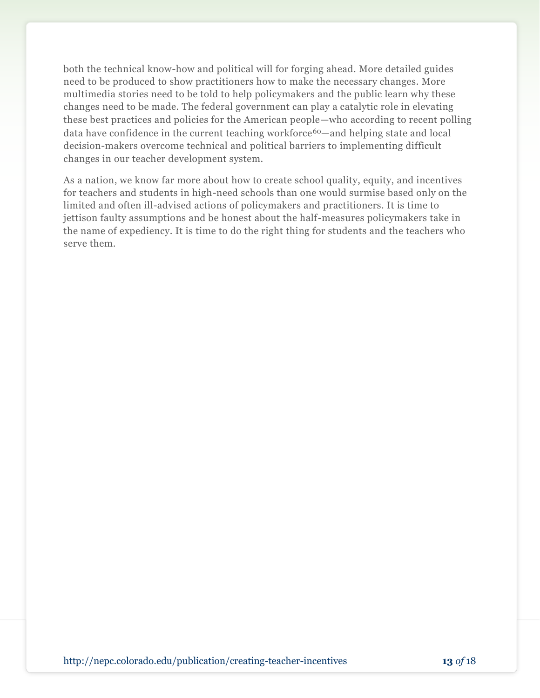both the technical know-how and political will for forging ahead. More detailed guides need to be produced to show practitioners how to make the necessary changes. More multimedia stories need to be told to help policymakers and the public learn why these changes need to be made. The federal government can play a catalytic role in elevating these best practices and policies for the American people—who according to recent polling data have confidence in the current teaching workforce<sup>60</sup>—and helping state and local decision-makers overcome technical and political barriers to implementing difficult changes in our teacher development system.

As a nation, we know far more about how to create school quality, equity, and incentives for teachers and students in high-need schools than one would surmise based only on the limited and often ill-advised actions of policymakers and practitioners. It is time to jettison faulty assumptions and be honest about the half-measures policymakers take in the name of expediency. It is time to do the right thing for students and the teachers who serve them.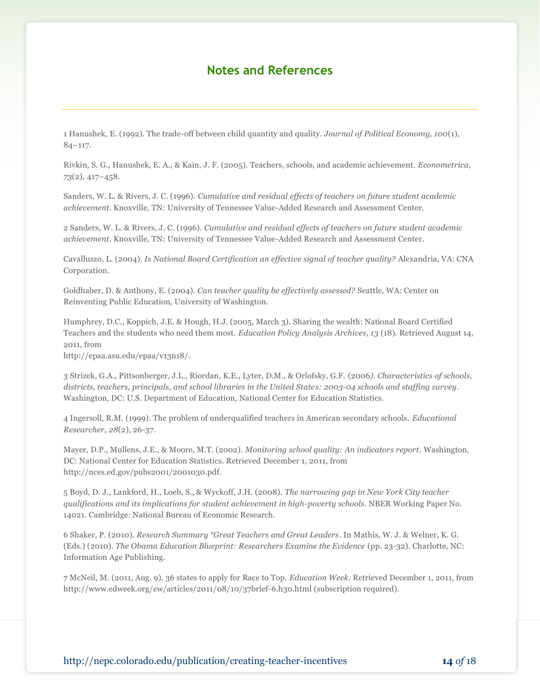### **Notes and References**

1 Hanushek, E. (1992). The trade-off between child quantity and quality. *Journal of Political Economy, 100*(1), 84–117.

Rivkin, S. G., Hanushek, E. A., & Kain, J. F. (2005). Teachers, schools, and academic achievement. *Econometrica, 73*(2), 417–458.

Sanders, W. L. & Rivers, J. C. (1996). *Cumulative and residual effects of teachers on future student academic achievement*. Knoxville, TN: University of Tennessee Value-Added Research and Assessment Center.

2 Sanders, W. L. & Rivers, J. C. (1996). *Cumulative and residual effects of teachers on future student academic achievement*. Knoxville, TN: University of Tennessee Value-Added Research and Assessment Center.

Cavalluzzo, L. (2004). *Is National Board Certification an effective signal of teacher quality?* Alexandria, VA: CNA Corporation.

Goldhaber, D. & Anthony, E. (2004). *Can teacher quality be effectively assessed?* Seattle, WA: Center on Reinventing Public Education, University of Washington.

Humphrey, D.C., Koppich, J.E. & Hough, H.J. (2005, March 3). Sharing the wealth: National Board Certified Teachers and the students who need them most. *Education Policy Analysis Archives, 13* (18). Retrieved August 14, 2011, from

http://epaa.asu.edu/epaa/v13n18/.

3 Strizek, G.A., Pittsonberger, J.L., Riordan, K.E., Lyter, D.M., & Orlofsky, G.F. (2006*). Characteristics of schools, districts, teachers, principals, and school libraries in the United States: 2003-04 schools and staffing survey*. Washington, DC: U.S. Department of Education, National Center for Education Statistics.

4 Ingersoll, R.M. (1999). The problem of underqualified teachers in American secondary schools. *Educational Researcher, 28*(2), 26-37.

Mayer, D.P., Mullens, J.E., & Moore, M.T. (2002). *Monitoring school quality: An indicators report*. Washington, DC: National Center for Education Statistics. Retrieved December 1, 2011, from http://nces.ed.gov/pubs2001/2001030.pdf.

5 Boyd, D. J., Lankford, H., Loeb, S., & Wyckoff, J.H. (2008). *The narrowing gap in New York City teacher qualifications and its implications for student achievement in high-poverty schools*. NBER Working Paper No. 14021*.* Cambridge: National Bureau of Economic Research.

6 Shaker, P. (2010). *Research Summary "Great Teachers and Great Leaders*. In Mathis, W. J. & Welner, K. G. (Eds.) (2010). *The Obama Education Blueprint: Researchers Examine the Evidence* (pp. 23-32). Charlotte, NC: Information Age Publishing.

7 McNeil, M. (2011, Aug. 9). 36 states to apply for Race to Top. *Education Week.* Retrieved December 1, 2011, from http://www.edweek.org/ew/articles/2011/08/10/37brief-6.h30.html (subscription required).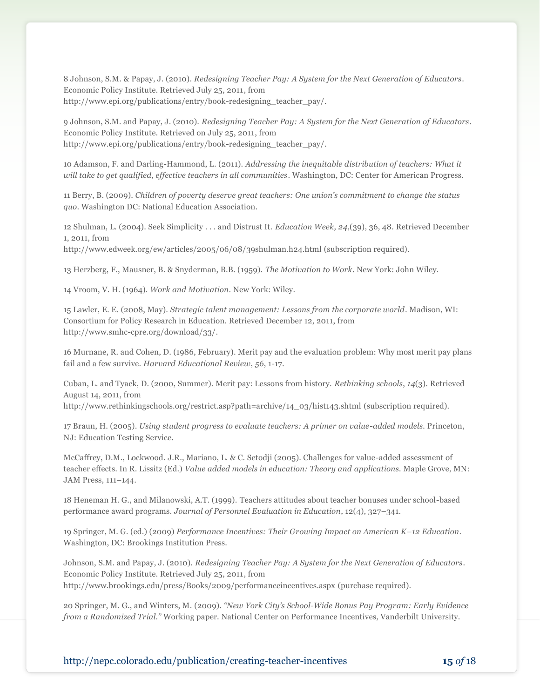8 Johnson, S.M. & Papay, J. (2010). *Redesigning Teacher Pay: A System for the Next Generation of Educators*. Economic Policy Institute. Retrieved July 25, 2011, from http://www.epi.org/publications/entry/book-redesigning\_teacher\_pay/.

9 Johnson, S.M. and Papay, J. (2010). *Redesigning Teacher Pay: A System for the Next Generation of Educators*. Economic Policy Institute. Retrieved on July 25, 2011, from http://www.epi.org/publications/entry/book-redesigning\_teacher\_pay/.

10 Adamson, F. and Darling-Hammond, L. (2011). *Addressing the inequitable distribution of teachers: What it will take to get qualified, effective teachers in all communities*. Washington, DC: Center for American Progress.

11 Berry, B. (2009). *Children of poverty deserve great teachers: One union's commitment to change the status quo*. Washington DC: National Education Association.

12 Shulman, L. (2004). Seek Simplicity . . . and Distrust It. *[Education Week,](http://www.edweek.org/ew/index.html) 24*,(39), 36, 48. Retrieved December 1, 2011, from

http://www.edweek.org/ew/articles/2005/06/08/39shulman.h24.html (subscription required).

13 Herzberg, F., Mausner, B. & Snyderman, B.B. (1959). *The Motivation to Work*. New York: John Wiley.

14 Vroom, V. H. (1964). *Work and Motivation*. New York: Wiley.

15 Lawler, E. E. (2008, May). *Strategic talent management: Lessons from the corporate world*. Madison, WI: Consortium for Policy Research in Education. Retrieved December 12, 2011, from http://www.smhc-cpre.org/download/33/.

16 Murnane, R. and Cohen, D. (1986, February). Merit pay and the evaluation problem: Why most merit pay plans fail and a few survive. *Harvard Educational Review*, *56*, 1-17.

Cuban, L. and Tyack, D. (2000, Summer). Merit pay: Lessons from history. *Rethinking schools*, *14*(3). Retrieved August 14, 2011, from

http://www.rethinkingschools.org/restrict.asp?path=archive/14\_03/hist143.shtml (subscription required).

17 Braun, H. (2005). *Using student progress to evaluate teachers: A primer on value-added models.* Princeton, NJ: Education Testing Service.

McCaffrey, D.M., Lockwood. J.R., Mariano, L. & C. Setodji (2005). Challenges for value-added assessment of teacher effects. In R. Lissitz (Ed.) *Value added models in education: Theory and applications.* Maple Grove, MN: JAM Press, 111–144.

18 Heneman H. G., and Milanowski, A.T. (1999). Teachers attitudes about teacher bonuses under school-based performance award programs. *Journal of Personnel Evaluation in Education*, 12(4), 327–341.

19 Springer, M. G. (ed.) (2009) *Performance Incentives: Their Growing Impact on American K–12 Education*. Washington, DC: Brookings Institution Press.

Johnson, S.M. and Papay, J. (2010). *Redesigning Teacher Pay: A System for the Next Generation of Educators*. Economic Policy Institute. Retrieved July 25, 2011, from http://www.brookings.edu/press/Books/2009/performanceincentives.aspx (purchase required).

20 Springer, M. G., and Winters, M. (2009). *"New York City's School-Wide Bonus Pay Program: Early Evidence from a Randomized Trial."* Working paper. National Center on Performance Incentives, Vanderbilt University.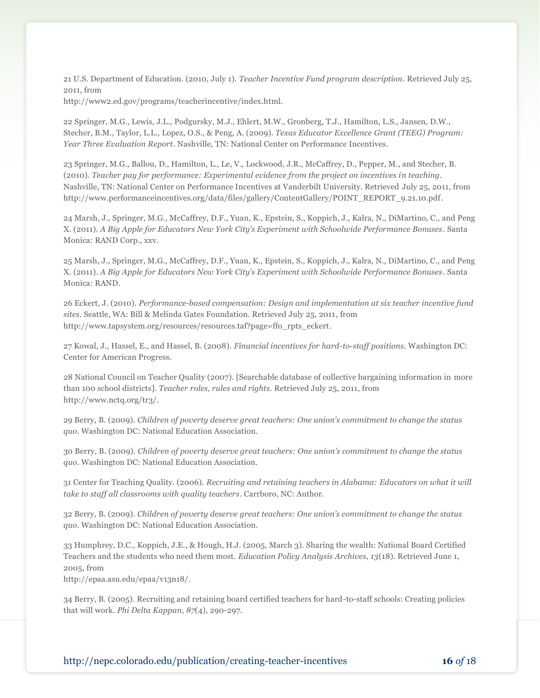21 U.S. Department of Education. (2010, July 1). *Teacher Incentive Fund program description*. Retrieved July 25, 2011, from

http://www2.ed.gov/programs/teacherincentive/index.html.

22 Springer, M.G., Lewis, J.L., Podgursky, M.J., Ehlert, M.W., Gronberg, T.J., Hamilton, L.S., Jansen, D.W., Stecher, B.M., Taylor, L.L., Lopez, O.S., & Peng, A. (2009). *Texas Educator Excellence Grant (TEEG) Program: Year Three Evaluation Report*. Nashville, TN: National Center on Performance Incentives.

23 Springer, M.G., Ballou, D., Hamilton, L., Le, V., Lockwood, J.R., McCaffrey, D., Pepper, M., and Stecher, B. (2010). *Teacher pay for performance: Experimental evidence from the project on incentives in teaching*. Nashville, TN: National Center on Performance Incentives at Vanderbilt University. Retrieved July 25, 2011, from http://www.performanceincentives.org/data/files/gallery/ContentGallery/POINT\_REPORT\_9.21.10.pdf.

24 Marsh, J., Springer, M.G., McCaffrey, D.F., Yuan, K., Epstein, S., Koppich, J., Kalra, N., DiMartino, C., and Peng X. (2011). *A Big Apple for Educators New York City's Experiment with Schoolwide Performance Bonuses*. Santa Monica: RAND Corp., xxv.

25 Marsh, J., Springer, M.G., McCaffrey, D.F., Yuan, K., Epstein, S., Koppich, J., Kalra, N., DiMartino, C., and Peng X. (2011). *A Big Apple for Educators New York City's Experiment with Schoolwide Performance Bonuses*. Santa Monica: RAND.

26 Eckert, J. (2010). *Performance-based compensation: Design and implementation at six teacher incentive fund sites*. Seattle, WA: Bill & Melinda Gates Foundation. Retrieved July 25, 2011, from http://www.tapsystem.org/resources/resources.taf?page=ffo\_rpts\_eckert.

27 Kowal, J., Hassel, E., and Hassel, B. (2008). *Financial incentives for hard-to-staff positions*. Washington DC: Center for American Progress.

28 National Council on Teacher Quality (2007). [Searchable database of collective bargaining information in more than 100 school districts]. *Teacher roles, rules and rights.* Retrieved July 25, 2011, from http://www.nctq.org/tr3/.

29 Berry, B. (2009). *Children of poverty deserve great teachers: One union's commitment to change the status quo*. Washington DC: National Education Association.

30 Berry, B. (2009). *Children of poverty deserve great teachers: One union's commitment to change the status quo*. Washington DC: National Education Association.

31 Center for Teaching Quality. (2006). *Recruiting and retaining teachers in Alabama: Educators on what it will take to staff all classrooms with quality teachers*. Carrboro, NC: Author.

32 Berry, B. (2009). *Children of poverty deserve great teachers: One union's commitment to change the status quo*. Washington DC: National Education Association.

33 Humphrey, D.C., Koppich, J.E., & Hough, H.J. (2005, March 3). Sharing the wealth: National Board Certified Teachers and the students who need them most. *Education Policy Analysis Archives, 13*(18). Retrieved June 1, 2005, from

http://epaa.asu.edu/epaa/v13n18/.

34 Berry, B. (2005). Recruiting and retaining board certified teachers for hard-to-staff schools: Creating policies that will work. *Phi Delta Kappan*, *87*(4), 290-297.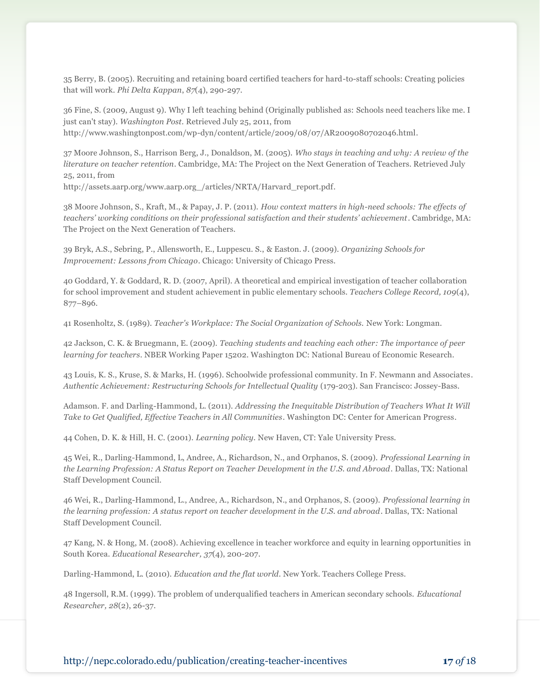35 Berry, B. (2005). Recruiting and retaining board certified teachers for hard-to-staff schools: Creating policies that will work. *Phi Delta Kappan*, *87*(4), 290-297.

36 Fine, S. (2009, August 9). Why I left teaching behind (Originally published as: Schools need teachers like me. I just can't stay). *Washington Post.* Retrieved July 25, 2011, from http://www.washingtonpost.com/wp-dyn/content/article/2009/08/07/AR2009080702046.html.

37 Moore Johnson, S., Harrison Berg, J., Donaldson, M. (2005). *Who stays in teaching and why: A review of the literature on teacher retention*. Cambridge, MA: The Project on the Next Generation of Teachers. Retrieved July 25, 2011, from

http://assets.aarp.org/www.aarp.org\_/articles/NRTA/Harvard\_report.pdf.

38 Moore Johnson, S., Kraft, M., & Papay, J. P. (2011). *How context matters in high-need schools: The effects of teachers' working conditions on their professional satisfaction and their students' achievement*. Cambridge, MA: The Project on the Next Generation of Teachers.

39 Bryk, A.S., Sebring, P., Allensworth, E., Luppescu. S., & Easton. J. (2009). *Organizing Schools for Improvement: Lessons from Chicago*. Chicago: University of Chicago Press.

40 Goddard, Y. & Goddard, R. D. (2007, April). A theoretical and empirical investigation of teacher collaboration for school improvement and student achievement in public elementary schools. *Teachers College Record, 109*(4), 877–896.

41 Rosenholtz, S. (1989). *Teacher's Workplace: The Social Organization of Schools.* New York: Longman.

42 Jackson, C. K. & Bruegmann, E. (2009). *Teaching students and teaching each other: The importance of peer learning for teachers*. NBER Working Paper 15202. Washington DC: National Bureau of Economic Research.

43 Louis, K. S., Kruse, S. & Marks, H. (1996). Schoolwide professional community. In F. Newmann and Associates*. Authentic Achievement: Restructuring Schools for Intellectual Quality* (179-203). San Francisco: Jossey-Bass.

Adamson. F. and Darling-Hammond, L. (2011). *Addressing the Inequitable Distribution of Teachers What It Will Take to Get Qualified, Effective Teachers in All Communities*. Washington DC: Center for American Progress.

44 Cohen, D. K. & Hill, H. C. (2001). *Learning policy.* New Haven, CT: Yale University Press.

45 Wei, R., Darling-Hammond, L, Andree, A., Richardson, N., and Orphanos, S. (2009). *Professional Learning in the Learning Profession: A Status Report on Teacher Development in the U.S. and Abroad*. Dallas, TX: National Staff Development Council.

46 Wei, R., Darling-Hammond, L., Andree, A., Richardson, N., and Orphanos, S. (2009). *Professional learning in the learning profession: A status report on teacher development in the U.S. and abroad*. Dallas, TX: National Staff Development Council.

47 Kang, N. & Hong, M. (2008). Achieving excellence in teacher workforce and equity in learning opportunities in South Korea. *Educational Researcher, 37*(4), 200-207.

Darling-Hammond, L. (2010). *Education and the flat world*. New York. Teachers College Press.

48 Ingersoll, R.M. (1999). The problem of underqualified teachers in American secondary schools. *Educational Researcher, 28*(2), 26-37.